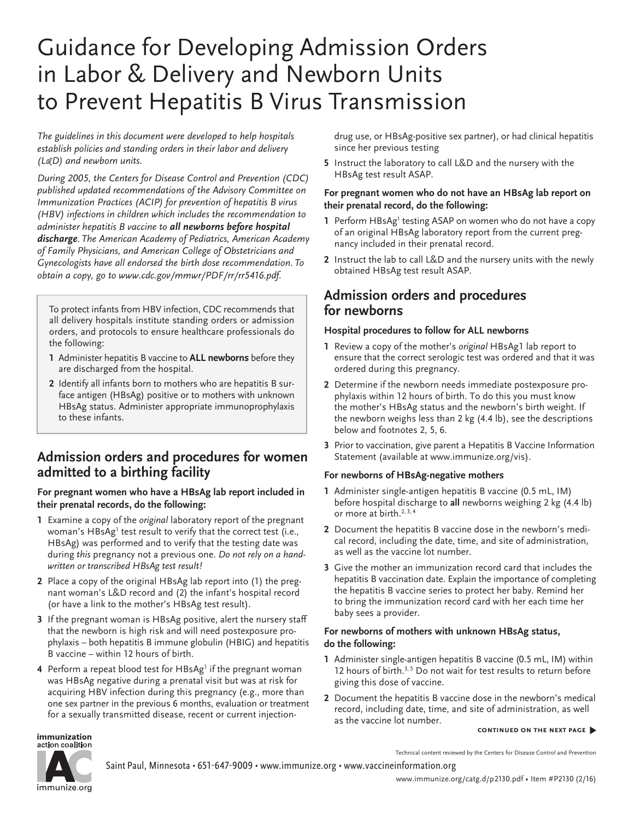# Guidance for Developing Admission Orders in Labor & Delivery and Newborn Units to Prevent Hepatitis B Virus Transmission

*The guidelines in this document were developed to help hospitals establish policies and standing orders in their labor and delivery (L&D) and newborn units.* 

*During 2005, the Centers for Disease Control and Prevention (CDC) published updated recommendations of the Advisory Committee on Immunization Practices (ACIP) for prevention of hepatitis B virus (HBV) infections in children which includes the recommendation to administer hepatitis B vaccine to all newborns before hospital discharge. The American Academy of Pediatrics, American Academy of Family Physicians, and American College of Obstetricians and Gynecologists have all endorsed the birth dose recommendation. To obtain a copy, go to [www.cdc.gov/mmwr/PDF/rr/rr5416.pdf.](http://www.cdc.gov/mmwr/PDF/rr/rr5416.pdf)*

To protect infants from HBV infection, CDC recommends that all delivery hospitals institute standing orders or admission orders, and protocols to ensure healthcare professionals do the following:

- **1** Administer hepatitis B vaccine to **ALL newborns** before they are discharged from the hospital.
- **2** Identify all infants born to mothers who are hepatitis B surface antigen (HBsAg) positive or to mothers with unknown HBsAg status. Administer appropriate immunoprophylaxis to these infants.

## **Admission orders and procedures for women admitted to a birthing facility**

#### **For pregnant women who have a HBsAg lab report included in their prenatal records, do the following:**

- **1** Examine a copy of the *original* laboratory report of the pregnant woman's HBsAg<sup>1</sup> test result to verify that the correct test (i.e., HBsAg) was performed and to verify that the testing date was during *this* pregnancy not a previous one. *Do not rely on a handwritten or transcribed HBsAg test result!*
- **2** Place a copy of the original HBsAg lab report into (1) the pregnant woman's L&D record and (2) the infant's hospital record (or have a link to the mother's HBsAg test result).
- **3** If the pregnant woman is HBsAg positive, alert the nursery staff that the newborn is high risk and will need postexposure prophylaxis – both hepatitis B immune globulin (HBIG) and hepatitis B vaccine – within 12 hours of birth.
- **4** Perform a repeat blood test for HBsAg<sup>1</sup> if the pregnant woman was HBsAg negative during a prenatal visit but was at risk for acquiring HBV infection during this pregnancy (e.g., more than one sex partner in the previous 6 months, evaluation or treatment for a sexually transmitted disease, recent or current injection-

drug use, or HBsAg-positive sex partner), or had clinical hepatitis since her previous testing

**5** Instruct the laboratory to call L&D and the nursery with the HBsAg test result ASAP.

#### **For pregnant women who do not have an HBsAg lab report on their prenatal record, do the following:**

- 1 Perform HBsAg<sup>1</sup> testing ASAP on women who do not have a copy of an original HBsAg laboratory report from the current pregnancy included in their prenatal record.
- **2** Instruct the lab to call L&D and the nursery units with the newly obtained HBsAg test result ASAP.

## **Admission orders and procedures for newborns**

#### **Hospital procedures to follow for ALL newborns**

- **1** Review a copy of the mother's *original* HBsAg1 lab report to ensure that the correct serologic test was ordered and that it was ordered during this pregnancy.
- **2** Determine if the newborn needs immediate postexposure prophylaxis within 12 hours of birth. To do this you must know the mother's HBsAg status and the newborn's birth weight. If the newborn weighs less than 2 kg (4.4 lb), see the descriptions below and footnotes 2, 5, 6.
- **3** Prior to vaccination, give parent a Hepatitis B Vaccine Information Statement (available at www.immunize.org/vis).

#### **For newborns of HBsAg-negative mothers**

- **1** Administer single-antigen hepatitis B vaccine (0.5 mL, IM) before hospital discharge to **all** newborns weighing 2 kg (4.4 lb) or more at birth.<sup>2, 3, 4</sup>
- **2** Document the hepatitis B vaccine dose in the newborn's medical record, including the date, time, and site of administration, as well as the vaccine lot number.
- **3** Give the mother an immunization record card that includes the hepatitis B vaccination date. Explain the importance of completing the hepatitis B vaccine series to protect her baby. Remind her to bring the immunization record card with her each time her baby sees a provider.

#### **For newborns of mothers with unknown HBsAg status, do the following:**

- **1** Administer single-antigen hepatitis B vaccine (0.5 mL, IM) within 12 hours of birth.<sup>3, 5</sup> Do not wait for test results to return before giving this dose of vaccine.
- **2** Document the hepatitis B vaccine dose in the newborn's medical record, including date, time, and site of administration, as well as the vaccine lot number.

#### **continued on the next page** �

immunization action coalition



Technical content reviewed by the Centers for Disease Control and Prevention

Saint Paul, Minnesota • 651-647-9009 • [www.immunize.org](http://www.immunize.org) • [www.vaccineinformation.org](http://www.vaccineinformation.org)